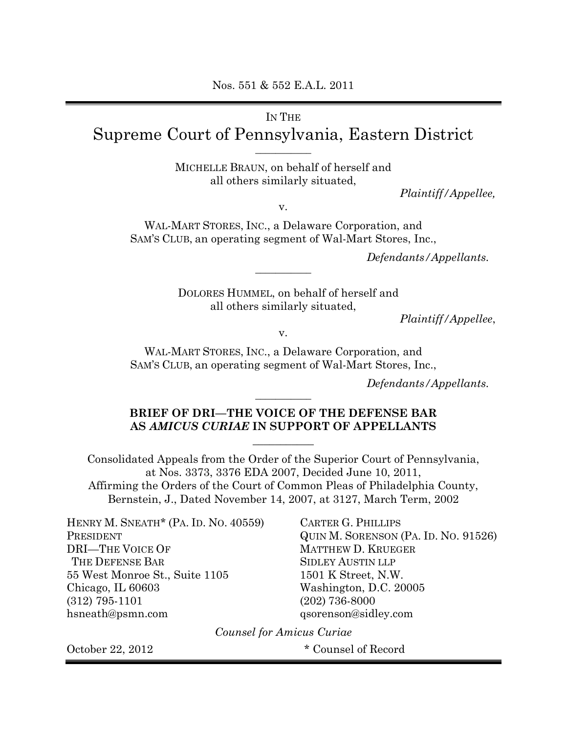# IN THE Supreme Court of Pennsylvania, Eastern District

**\_\_\_\_\_\_\_\_\_\_\_** 

MICHELLE BRAUN, on behalf of herself and all others similarly situated,

*Plaintiff/Appellee,* 

v.

WAL-MART STORES, INC., a Delaware Corporation, and SAM'S CLUB, an operating segment of Wal-Mart Stores, Inc.,

*Defendants/Appellants.* 

DOLORES HUMMEL, on behalf of herself and all others similarly situated,

**\_\_\_\_\_\_\_\_\_\_\_** 

*Plaintiff/Appellee*,

v.

WAL-MART STORES, INC., a Delaware Corporation, and SAM'S CLUB, an operating segment of Wal-Mart Stores, Inc.,

*Defendants/Appellants.* 

## **BRIEF OF DRI—THE VOICE OF THE DEFENSE BAR AS** *AMICUS CURIAE* **IN SUPPORT OF APPELLANTS**

**\_\_\_\_\_\_\_\_\_\_\_** 

**\_\_\_\_\_\_\_\_\_\_\_** 

Consolidated Appeals from the Order of the Superior Court of Pennsylvania, at Nos. 3373, 3376 EDA 2007, Decided June 10, 2011, Affirming the Orders of the Court of Common Pleas of Philadelphia County, Bernstein, J., Dated November 14, 2007, at 3127, March Term, 2002

HENRY M. SNEATH<sup>\*</sup> (PA. ID. NO. 40559) PRESIDENT DRI—THE VOICE OF THE DEFENSE BAR SIDLEY AUSTIN LLP 55 West Monroe St., Suite 1105 Chicago, IL 60603 (312) 795-1101 hsneath@psmn.com

CARTER G. PHILLIPS QUIN M. SORENSON (PA. ID. NO. 91526) MATTHEW D. KRUEGER 1501 K Street, N.W. Washington, D.C. 20005 (202) 736-8000 qsorenson@sidley.com

*Counsel for Amicus Curiae* 

October 22, 2012 \* Counsel of Record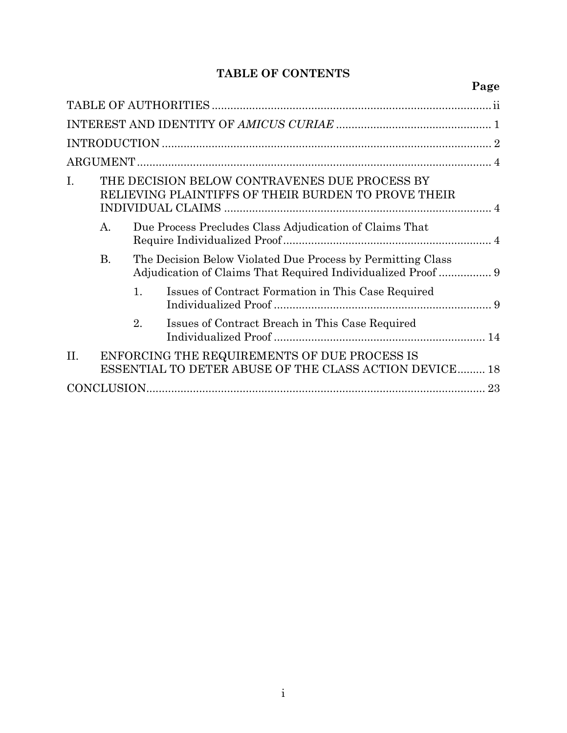# **TABLE OF CONTENTS**

|     |                                                                                                                                                                                                                                                                                                                                                                                                                                                                                                                                                                              |  |  | Page |
|-----|------------------------------------------------------------------------------------------------------------------------------------------------------------------------------------------------------------------------------------------------------------------------------------------------------------------------------------------------------------------------------------------------------------------------------------------------------------------------------------------------------------------------------------------------------------------------------|--|--|------|
|     |                                                                                                                                                                                                                                                                                                                                                                                                                                                                                                                                                                              |  |  |      |
|     | THE DECISION BELOW CONTRAVENES DUE PROCESS BY<br>RELIEVING PLAINTIFFS OF THEIR BURDEN TO PROVE THEIR<br><b>INDIVIDUAL CLAIMS</b><br>А.<br>Due Process Precludes Class Adjudication of Claims That<br>The Decision Below Violated Due Process by Permitting Class<br><b>B.</b><br>Adjudication of Claims That Required Individualized Proof  9<br>Issues of Contract Formation in This Case Required<br>1.<br>Issues of Contract Breach in This Case Required<br>2.<br>ENFORCING THE REQUIREMENTS OF DUE PROCESS IS<br>ESSENTIAL TO DETER ABUSE OF THE CLASS ACTION DEVICE 18 |  |  |      |
|     |                                                                                                                                                                                                                                                                                                                                                                                                                                                                                                                                                                              |  |  |      |
|     |                                                                                                                                                                                                                                                                                                                                                                                                                                                                                                                                                                              |  |  |      |
| Ī.  |                                                                                                                                                                                                                                                                                                                                                                                                                                                                                                                                                                              |  |  |      |
|     |                                                                                                                                                                                                                                                                                                                                                                                                                                                                                                                                                                              |  |  |      |
|     |                                                                                                                                                                                                                                                                                                                                                                                                                                                                                                                                                                              |  |  |      |
|     |                                                                                                                                                                                                                                                                                                                                                                                                                                                                                                                                                                              |  |  |      |
|     |                                                                                                                                                                                                                                                                                                                                                                                                                                                                                                                                                                              |  |  |      |
| II. |                                                                                                                                                                                                                                                                                                                                                                                                                                                                                                                                                                              |  |  |      |
|     |                                                                                                                                                                                                                                                                                                                                                                                                                                                                                                                                                                              |  |  |      |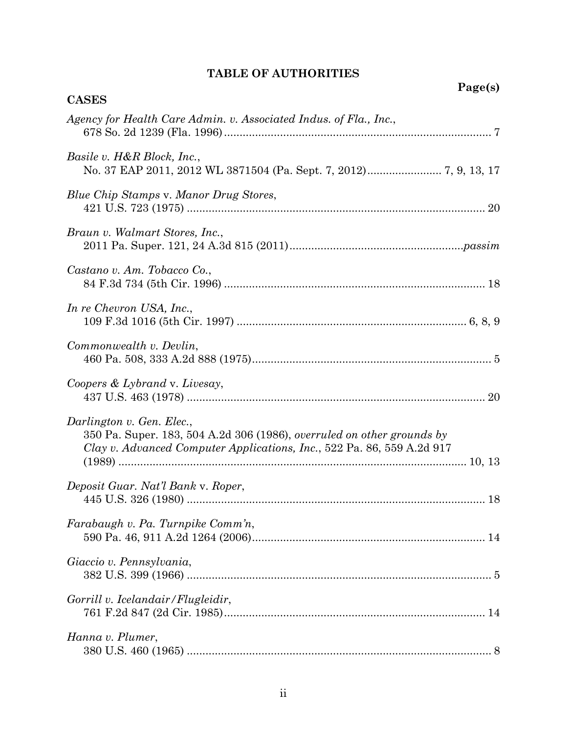# **TABLE OF AUTHORITIES**

**Page(s)** 

| <b>CASES</b>                                                                                                                                                                  |
|-------------------------------------------------------------------------------------------------------------------------------------------------------------------------------|
| Agency for Health Care Admin. v. Associated Indus. of Fla., Inc.,                                                                                                             |
| Basile v. H&R Block, Inc.,                                                                                                                                                    |
| Blue Chip Stamps v. Manor Drug Stores,                                                                                                                                        |
| Braun v. Walmart Stores, Inc.,                                                                                                                                                |
| Castano v. Am. Tobacco Co.,                                                                                                                                                   |
| In re Chevron USA, Inc.,                                                                                                                                                      |
| Commonwealth v. Devlin,                                                                                                                                                       |
| Coopers & Lybrand v. Livesay,                                                                                                                                                 |
| Darlington v. Gen. Elec.,<br>350 Pa. Super. 183, 504 A.2d 306 (1986), overruled on other grounds by<br>Clay v. Advanced Computer Applications, Inc., 522 Pa. 86, 559 A.2d 917 |
| Deposit Guar. Nat'l Bank v. Roper,                                                                                                                                            |
| Farabaugh v. Pa. Turnpike Comm'n,                                                                                                                                             |
| Giaccio v. Pennsylvania,                                                                                                                                                      |
| Gorrill v. Icelandair/Flugleidir,                                                                                                                                             |
| Hanna v. Plumer,                                                                                                                                                              |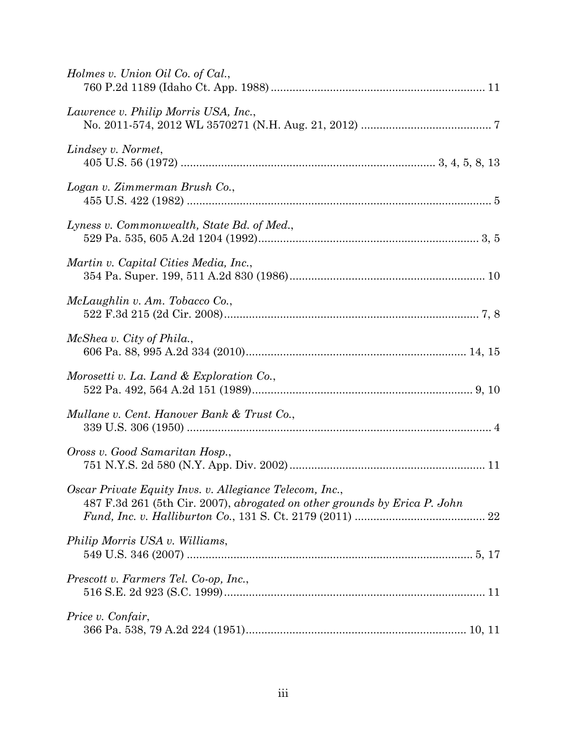| Holmes v. Union Oil Co. of Cal.,                                                                                                     |
|--------------------------------------------------------------------------------------------------------------------------------------|
| Lawrence v. Philip Morris USA, Inc.,                                                                                                 |
| Lindsey v. Normet,                                                                                                                   |
| Logan v. Zimmerman Brush Co.,                                                                                                        |
| Lyness v. Commonwealth, State Bd. of Med.,                                                                                           |
| Martin v. Capital Cities Media, Inc.,                                                                                                |
| McLaughlin v. Am. Tobacco Co.,                                                                                                       |
| McShea v. City of Phila.,                                                                                                            |
| Morosetti v. La. Land & Exploration Co.,                                                                                             |
| Mullane v. Cent. Hanover Bank & Trust Co.,                                                                                           |
| Oross v. Good Samaritan Hosp.,                                                                                                       |
| Oscar Private Equity Invs. v. Allegiance Telecom, Inc.,<br>487 F.3d 261 (5th Cir. 2007), abrogated on other grounds by Erica P. John |
| Philip Morris USA v. Williams,                                                                                                       |
| Prescott v. Farmers Tel. Co-op, Inc.,                                                                                                |
| Price v. Confair,                                                                                                                    |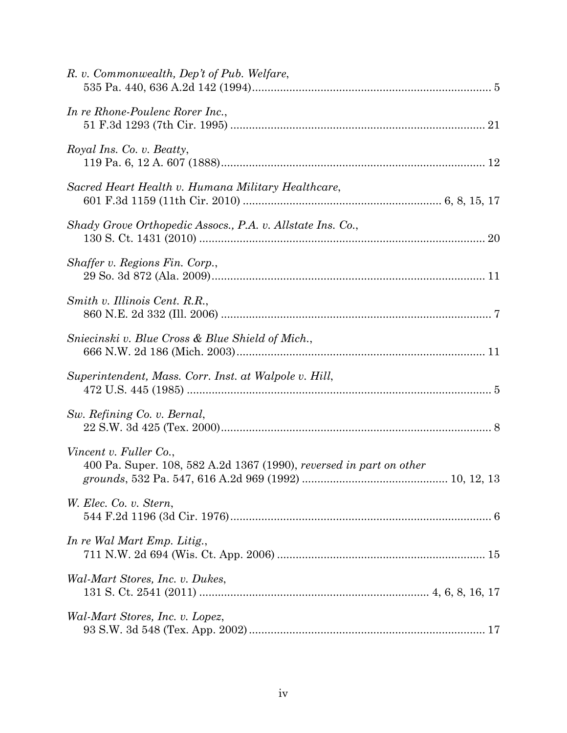| R. v. Commonwealth, Dep't of Pub. Welfare,                                                    |
|-----------------------------------------------------------------------------------------------|
| In re Rhone-Poulenc Rorer Inc.,                                                               |
| Royal Ins. Co. v. Beatty,                                                                     |
| Sacred Heart Health v. Humana Military Healthcare,                                            |
| Shady Grove Orthopedic Assocs., P.A. v. Allstate Ins. Co.,                                    |
| Shaffer v. Regions Fin. Corp.,                                                                |
| Smith v. Illinois Cent. R.R.,                                                                 |
| Sniecinski v. Blue Cross & Blue Shield of Mich.,                                              |
| Superintendent, Mass. Corr. Inst. at Walpole v. Hill,                                         |
| Sw. Refining Co. v. Bernal,                                                                   |
| Vincent v. Fuller Co.,<br>400 Pa. Super. 108, 582 A.2d 1367 (1990), reversed in part on other |
| W. Elec. Co. v. Stern,                                                                        |
| In re Wal Mart Emp. Litig.,                                                                   |
| Wal-Mart Stores, Inc. v. Dukes,                                                               |
| Wal-Mart Stores, Inc. v. Lopez,                                                               |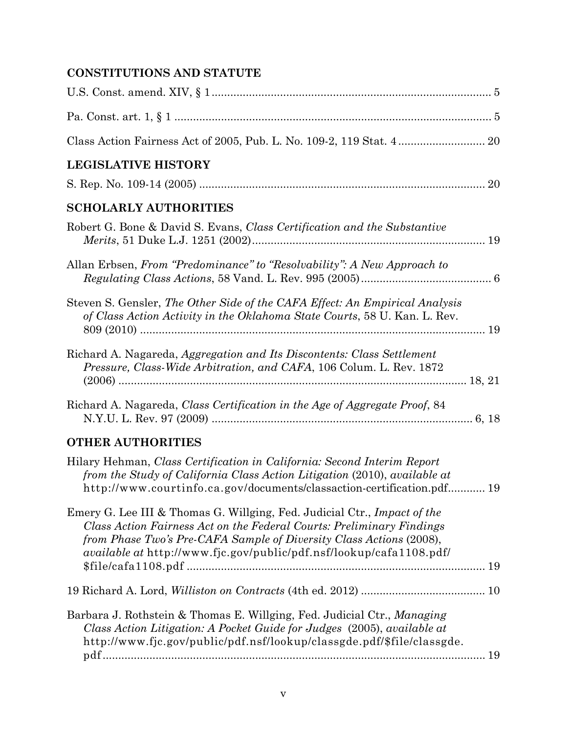# **CONSTITUTIONS AND STATUTE**

| <b>LEGISLATIVE HISTORY</b>                                                                                                                                                                                                                                                                             |  |
|--------------------------------------------------------------------------------------------------------------------------------------------------------------------------------------------------------------------------------------------------------------------------------------------------------|--|
|                                                                                                                                                                                                                                                                                                        |  |
| <b>SCHOLARLY AUTHORITIES</b>                                                                                                                                                                                                                                                                           |  |
| Robert G. Bone & David S. Evans, Class Certification and the Substantive                                                                                                                                                                                                                               |  |
| Allan Erbsen, From "Predominance" to "Resolvability": A New Approach to                                                                                                                                                                                                                                |  |
| Steven S. Gensler, The Other Side of the CAFA Effect: An Empirical Analysis<br>of Class Action Activity in the Oklahoma State Courts, 58 U. Kan. L. Rev.                                                                                                                                               |  |
| Richard A. Nagareda, Aggregation and Its Discontents: Class Settlement<br><i>Pressure, Class-Wide Arbitration, and CAFA, 106 Colum. L. Rev. 1872</i>                                                                                                                                                   |  |
| Richard A. Nagareda, Class Certification in the Age of Aggregate Proof, 84                                                                                                                                                                                                                             |  |
| <b>OTHER AUTHORITIES</b>                                                                                                                                                                                                                                                                               |  |
| Hilary Hehman, Class Certification in California: Second Interim Report<br>from the Study of California Class Action Litigation (2010), available at<br>http://www.courtinfo.ca.gov/documents/classaction-certification.pdf 19                                                                         |  |
| Emery G. Lee III & Thomas G. Willging, Fed. Judicial Ctr., Impact of the<br>Class Action Fairness Act on the Federal Courts: Preliminary Findings<br>from Phase Two's Pre-CAFA Sample of Diversity Class Actions (2008),<br><i>available at</i> http://www.fjc.gov/public/pdf.nsf/lookup/cafa1108.pdf/ |  |
|                                                                                                                                                                                                                                                                                                        |  |
| Barbara J. Rothstein & Thomas E. Willging, Fed. Judicial Ctr., Managing<br>Class Action Litigation: A Pocket Guide for Judges (2005), available at<br>http://www.fjc.gov/public/pdf.nsf/lookup/classgde.pdf/\$file/classgde.                                                                           |  |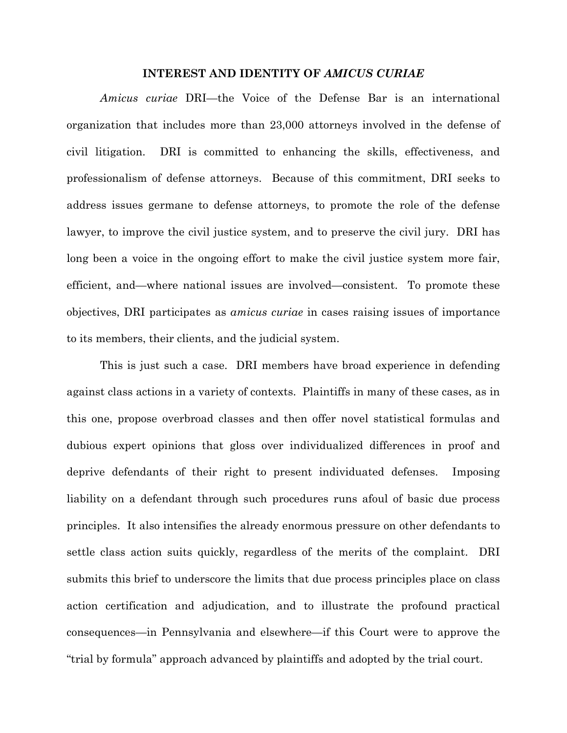### **INTEREST AND IDENTITY OF** *AMICUS CURIAE*

*Amicus curiae* DRI—the Voice of the Defense Bar is an international organization that includes more than 23,000 attorneys involved in the defense of civil litigation. DRI is committed to enhancing the skills, effectiveness, and professionalism of defense attorneys. Because of this commitment, DRI seeks to address issues germane to defense attorneys, to promote the role of the defense lawyer, to improve the civil justice system, and to preserve the civil jury. DRI has long been a voice in the ongoing effort to make the civil justice system more fair, efficient, and—where national issues are involved—consistent. To promote these objectives, DRI participates as *amicus curiae* in cases raising issues of importance to its members, their clients, and the judicial system.

This is just such a case. DRI members have broad experience in defending against class actions in a variety of contexts. Plaintiffs in many of these cases, as in this one, propose overbroad classes and then offer novel statistical formulas and dubious expert opinions that gloss over individualized differences in proof and deprive defendants of their right to present individuated defenses. Imposing liability on a defendant through such procedures runs afoul of basic due process principles. It also intensifies the already enormous pressure on other defendants to settle class action suits quickly, regardless of the merits of the complaint. DRI submits this brief to underscore the limits that due process principles place on class action certification and adjudication, and to illustrate the profound practical consequences—in Pennsylvania and elsewhere—if this Court were to approve the "trial by formula" approach advanced by plaintiffs and adopted by the trial court.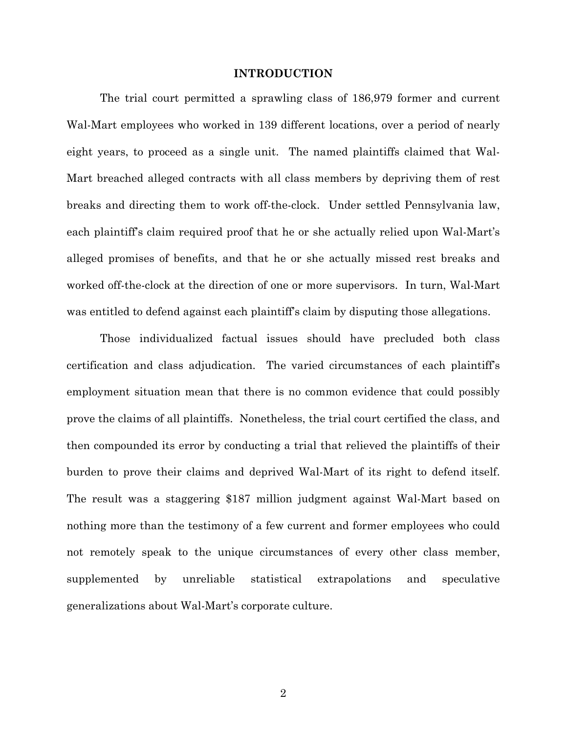### **INTRODUCTION**

The trial court permitted a sprawling class of 186,979 former and current Wal-Mart employees who worked in 139 different locations, over a period of nearly eight years, to proceed as a single unit. The named plaintiffs claimed that Wal-Mart breached alleged contracts with all class members by depriving them of rest breaks and directing them to work off-the-clock. Under settled Pennsylvania law, each plaintiff's claim required proof that he or she actually relied upon Wal-Mart's alleged promises of benefits, and that he or she actually missed rest breaks and worked off-the-clock at the direction of one or more supervisors. In turn, Wal-Mart was entitled to defend against each plaintiff's claim by disputing those allegations.

Those individualized factual issues should have precluded both class certification and class adjudication. The varied circumstances of each plaintiff's employment situation mean that there is no common evidence that could possibly prove the claims of all plaintiffs. Nonetheless, the trial court certified the class, and then compounded its error by conducting a trial that relieved the plaintiffs of their burden to prove their claims and deprived Wal-Mart of its right to defend itself. The result was a staggering \$187 million judgment against Wal-Mart based on nothing more than the testimony of a few current and former employees who could not remotely speak to the unique circumstances of every other class member, supplemented by unreliable statistical extrapolations and speculative generalizations about Wal-Mart's corporate culture.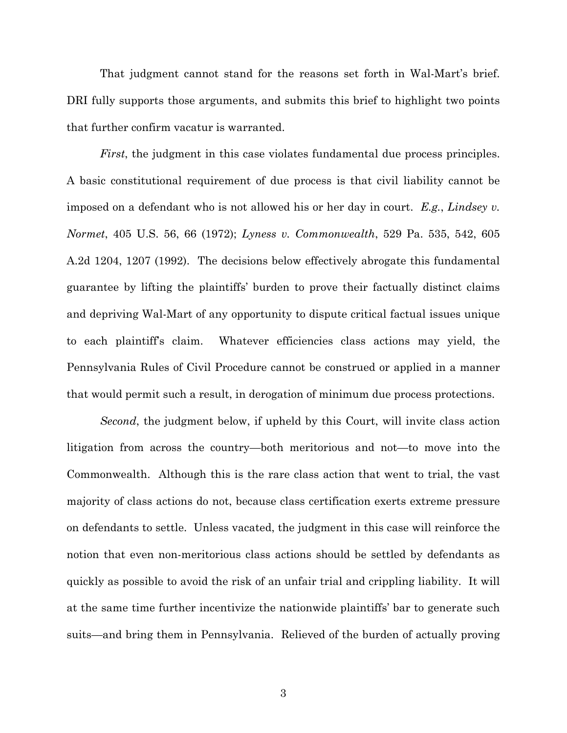That judgment cannot stand for the reasons set forth in Wal-Mart's brief. DRI fully supports those arguments, and submits this brief to highlight two points that further confirm vacatur is warranted.

*First*, the judgment in this case violates fundamental due process principles. A basic constitutional requirement of due process is that civil liability cannot be imposed on a defendant who is not allowed his or her day in court. *E.g.*, *Lindsey v. Normet*, 405 U.S. 56, 66 (1972); *Lyness v. Commonwealth*, 529 Pa. 535, 542, 605 A.2d 1204, 1207 (1992). The decisions below effectively abrogate this fundamental guarantee by lifting the plaintiffs' burden to prove their factually distinct claims and depriving Wal-Mart of any opportunity to dispute critical factual issues unique to each plaintiff's claim. Whatever efficiencies class actions may yield, the Pennsylvania Rules of Civil Procedure cannot be construed or applied in a manner that would permit such a result, in derogation of minimum due process protections.

*Second*, the judgment below, if upheld by this Court, will invite class action litigation from across the country—both meritorious and not—to move into the Commonwealth. Although this is the rare class action that went to trial, the vast majority of class actions do not, because class certification exerts extreme pressure on defendants to settle. Unless vacated, the judgment in this case will reinforce the notion that even non-meritorious class actions should be settled by defendants as quickly as possible to avoid the risk of an unfair trial and crippling liability. It will at the same time further incentivize the nationwide plaintiffs' bar to generate such suits—and bring them in Pennsylvania. Relieved of the burden of actually proving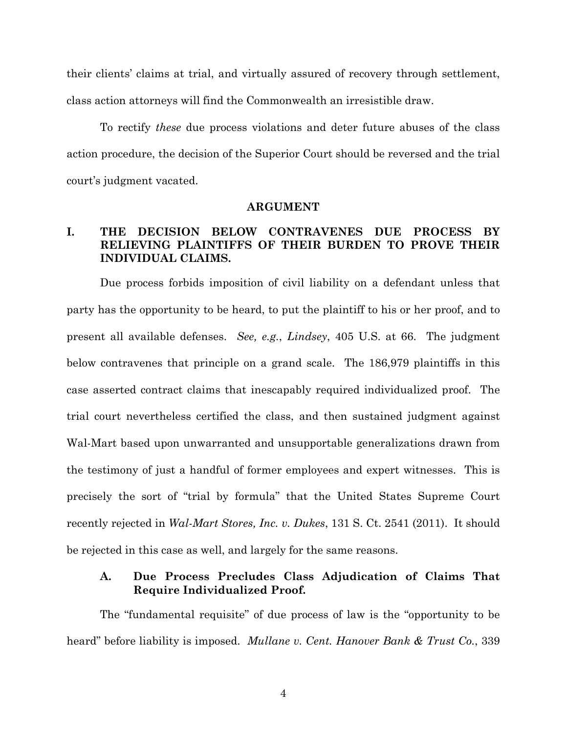their clients' claims at trial, and virtually assured of recovery through settlement, class action attorneys will find the Commonwealth an irresistible draw.

To rectify *these* due process violations and deter future abuses of the class action procedure, the decision of the Superior Court should be reversed and the trial court's judgment vacated.

### **ARGUMENT**

# **I. THE DECISION BELOW CONTRAVENES DUE PROCESS BY RELIEVING PLAINTIFFS OF THEIR BURDEN TO PROVE THEIR INDIVIDUAL CLAIMS.**

Due process forbids imposition of civil liability on a defendant unless that party has the opportunity to be heard, to put the plaintiff to his or her proof, and to present all available defenses. *See, e.g.*, *Lindsey*, 405 U.S. at 66. The judgment below contravenes that principle on a grand scale. The 186,979 plaintiffs in this case asserted contract claims that inescapably required individualized proof. The trial court nevertheless certified the class, and then sustained judgment against Wal-Mart based upon unwarranted and unsupportable generalizations drawn from the testimony of just a handful of former employees and expert witnesses. This is precisely the sort of "trial by formula" that the United States Supreme Court recently rejected in *Wal-Mart Stores, Inc. v. Dukes*, 131 S. Ct. 2541 (2011). It should be rejected in this case as well, and largely for the same reasons.

# **A. Due Process Precludes Class Adjudication of Claims That Require Individualized Proof.**

The "fundamental requisite" of due process of law is the "opportunity to be heard" before liability is imposed. *Mullane v. Cent. Hanover Bank & Trust Co.*, 339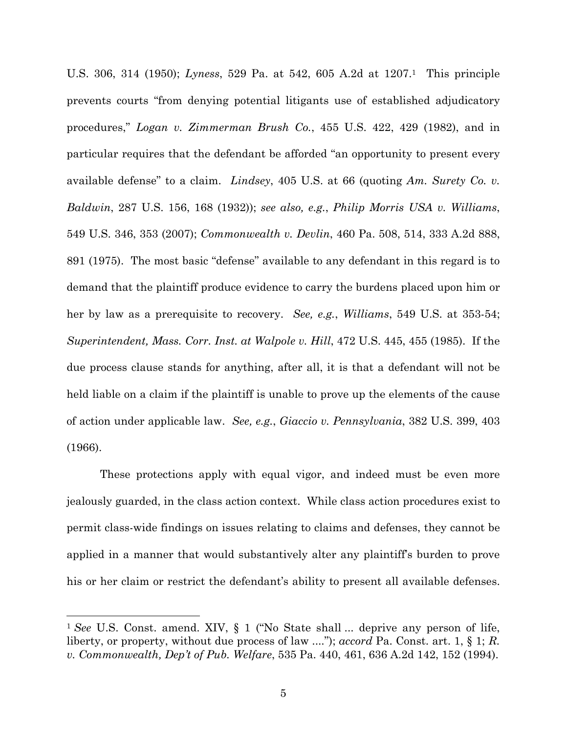U.S. 306, 314 (1950); *Lyness*, 529 Pa. at 542, 605 A.2d at 1207.1 This principle prevents courts "from denying potential litigants use of established adjudicatory procedures," *Logan v. Zimmerman Brush Co.*, 455 U.S. 422, 429 (1982), and in particular requires that the defendant be afforded "an opportunity to present every available defense" to a claim. *Lindsey*, 405 U.S. at 66 (quoting *Am. Surety Co. v. Baldwin*, 287 U.S. 156, 168 (1932)); *see also, e.g.*, *Philip Morris USA v. Williams*, 549 U.S. 346, 353 (2007); *Commonwealth v. Devlin*, 460 Pa. 508, 514, 333 A.2d 888, 891 (1975). The most basic "defense" available to any defendant in this regard is to demand that the plaintiff produce evidence to carry the burdens placed upon him or her by law as a prerequisite to recovery. *See, e.g.*, *Williams*, 549 U.S. at 353-54; *Superintendent, Mass. Corr. Inst. at Walpole v. Hill*, 472 U.S. 445, 455 (1985). If the due process clause stands for anything, after all, it is that a defendant will not be held liable on a claim if the plaintiff is unable to prove up the elements of the cause of action under applicable law. *See, e.g.*, *Giaccio v. Pennsylvania*, 382 U.S. 399, 403 (1966).

These protections apply with equal vigor, and indeed must be even more jealously guarded, in the class action context. While class action procedures exist to permit class-wide findings on issues relating to claims and defenses, they cannot be applied in a manner that would substantively alter any plaintiff's burden to prove his or her claim or restrict the defendant's ability to present all available defenses.

 $\overline{a}$ 

<sup>1</sup> *See* U.S. Const. amend. XIV, § 1 ("No State shall ... deprive any person of life, liberty, or property, without due process of law ...."); *accord* Pa. Const. art. 1, § 1; *R. v. Commonwealth, Dep't of Pub. Welfare*, 535 Pa. 440, 461, 636 A.2d 142, 152 (1994).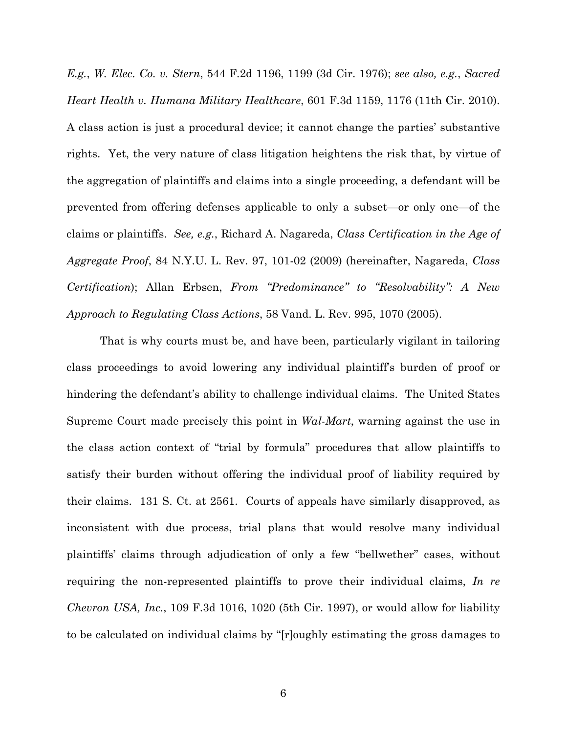*E.g.*, *W. Elec. Co. v. Stern*, 544 F.2d 1196, 1199 (3d Cir. 1976); *see also, e.g.*, *Sacred Heart Health v. Humana Military Healthcare*, 601 F.3d 1159, 1176 (11th Cir. 2010). A class action is just a procedural device; it cannot change the parties' substantive rights. Yet, the very nature of class litigation heightens the risk that, by virtue of the aggregation of plaintiffs and claims into a single proceeding, a defendant will be prevented from offering defenses applicable to only a subset—or only one—of the claims or plaintiffs. *See, e.g.*, Richard A. Nagareda, *Class Certification in the Age of Aggregate Proof*, 84 N.Y.U. L. Rev. 97, 101-02 (2009) (hereinafter, Nagareda, *Class Certification*); Allan Erbsen, *From "Predominance" to "Resolvability": A New Approach to Regulating Class Actions*, 58 Vand. L. Rev. 995, 1070 (2005).

That is why courts must be, and have been, particularly vigilant in tailoring class proceedings to avoid lowering any individual plaintiff's burden of proof or hindering the defendant's ability to challenge individual claims. The United States Supreme Court made precisely this point in *Wal-Mart*, warning against the use in the class action context of "trial by formula" procedures that allow plaintiffs to satisfy their burden without offering the individual proof of liability required by their claims. 131 S. Ct. at 2561. Courts of appeals have similarly disapproved, as inconsistent with due process, trial plans that would resolve many individual plaintiffs' claims through adjudication of only a few "bellwether" cases, without requiring the non-represented plaintiffs to prove their individual claims, *In re Chevron USA, Inc.*, 109 F.3d 1016, 1020 (5th Cir. 1997), or would allow for liability to be calculated on individual claims by "[r]oughly estimating the gross damages to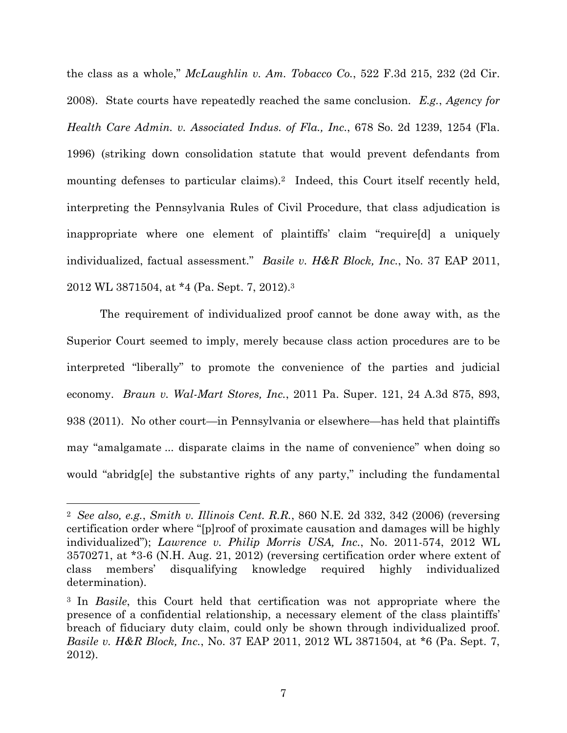the class as a whole," *McLaughlin v. Am. Tobacco Co.*, 522 F.3d 215, 232 (2d Cir. 2008). State courts have repeatedly reached the same conclusion. *E.g.*, *Agency for Health Care Admin. v. Associated Indus. of Fla., Inc.*, 678 So. 2d 1239, 1254 (Fla. 1996) (striking down consolidation statute that would prevent defendants from mounting defenses to particular claims).<sup>2</sup> Indeed, this Court itself recently held, interpreting the Pennsylvania Rules of Civil Procedure, that class adjudication is inappropriate where one element of plaintiffs' claim "require[d] a uniquely individualized, factual assessment." *Basile v. H&R Block, Inc.*, No. 37 EAP 2011, 2012 WL 3871504, at \*4 (Pa. Sept. 7, 2012).3

The requirement of individualized proof cannot be done away with, as the Superior Court seemed to imply, merely because class action procedures are to be interpreted "liberally" to promote the convenience of the parties and judicial economy. *Braun v. Wal-Mart Stores, Inc.*, 2011 Pa. Super. 121, 24 A.3d 875, 893, 938 (2011). No other court—in Pennsylvania or elsewhere—has held that plaintiffs may "amalgamate ... disparate claims in the name of convenience" when doing so would "abridgle" the substantive rights of any party," including the fundamental

1

<sup>2</sup> *See also, e.g.*, *Smith v. Illinois Cent. R.R.*, 860 N.E. 2d 332, 342 (2006) (reversing certification order where "[p]roof of proximate causation and damages will be highly individualized"); *Lawrence v. Philip Morris USA, Inc.*, No. 2011-574, 2012 WL 3570271, at \*3-6 (N.H. Aug. 21, 2012) (reversing certification order where extent of class members' disqualifying knowledge required highly individualized determination).

<sup>3</sup> In *Basile*, this Court held that certification was not appropriate where the presence of a confidential relationship, a necessary element of the class plaintiffs' breach of fiduciary duty claim, could only be shown through individualized proof. *Basile v. H&R Block, Inc.*, No. 37 EAP 2011, 2012 WL 3871504, at \*6 (Pa. Sept. 7, 2012).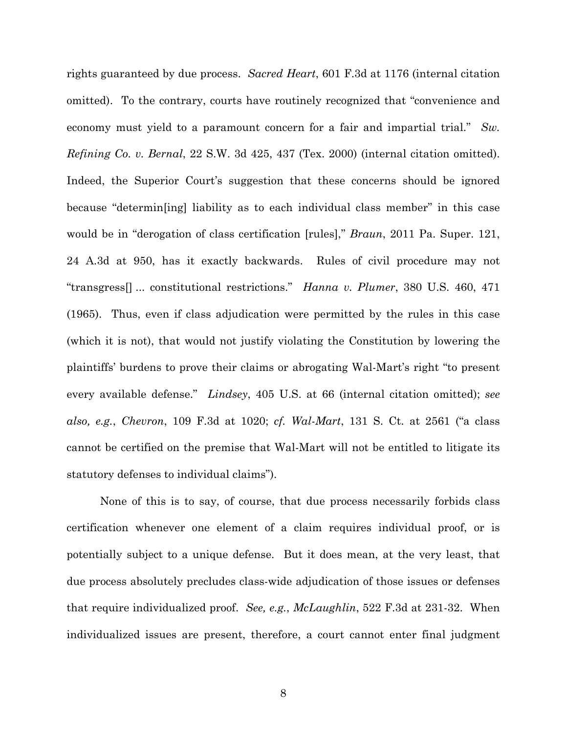rights guaranteed by due process. *Sacred Heart*, 601 F.3d at 1176 (internal citation omitted). To the contrary, courts have routinely recognized that "convenience and economy must yield to a paramount concern for a fair and impartial trial." *Sw. Refining Co. v. Bernal*, 22 S.W. 3d 425, 437 (Tex. 2000) (internal citation omitted). Indeed, the Superior Court's suggestion that these concerns should be ignored because "determin[ing] liability as to each individual class member" in this case would be in "derogation of class certification [rules]," *Braun*, 2011 Pa. Super. 121, 24 A.3d at 950, has it exactly backwards. Rules of civil procedure may not "transgress[] ... constitutional restrictions." *Hanna v. Plumer*, 380 U.S. 460, 471 (1965). Thus, even if class adjudication were permitted by the rules in this case (which it is not), that would not justify violating the Constitution by lowering the plaintiffs' burdens to prove their claims or abrogating Wal-Mart's right "to present every available defense." *Lindsey*, 405 U.S. at 66 (internal citation omitted); *see also, e.g.*, *Chevron*, 109 F.3d at 1020; *cf. Wal-Mart*, 131 S. Ct. at 2561 ("a class cannot be certified on the premise that Wal-Mart will not be entitled to litigate its statutory defenses to individual claims").

None of this is to say, of course, that due process necessarily forbids class certification whenever one element of a claim requires individual proof, or is potentially subject to a unique defense. But it does mean, at the very least, that due process absolutely precludes class-wide adjudication of those issues or defenses that require individualized proof. *See, e.g.*, *McLaughlin*, 522 F.3d at 231-32. When individualized issues are present, therefore, a court cannot enter final judgment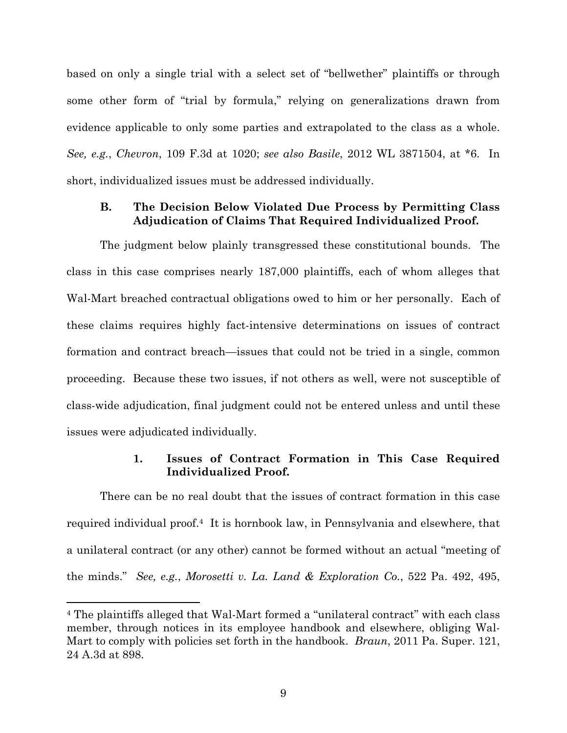based on only a single trial with a select set of "bellwether" plaintiffs or through some other form of "trial by formula," relying on generalizations drawn from evidence applicable to only some parties and extrapolated to the class as a whole. *See, e.g.*, *Chevron*, 109 F.3d at 1020; *see also Basile*, 2012 WL 3871504, at \*6. In short, individualized issues must be addressed individually.

## **B. The Decision Below Violated Due Process by Permitting Class Adjudication of Claims That Required Individualized Proof.**

The judgment below plainly transgressed these constitutional bounds. The class in this case comprises nearly 187,000 plaintiffs, each of whom alleges that Wal-Mart breached contractual obligations owed to him or her personally. Each of these claims requires highly fact-intensive determinations on issues of contract formation and contract breach—issues that could not be tried in a single, common proceeding. Because these two issues, if not others as well, were not susceptible of class-wide adjudication, final judgment could not be entered unless and until these issues were adjudicated individually.

## **1. Issues of Contract Formation in This Case Required Individualized Proof.**

There can be no real doubt that the issues of contract formation in this case required individual proof.4 It is hornbook law, in Pennsylvania and elsewhere, that a unilateral contract (or any other) cannot be formed without an actual "meeting of the minds." *See, e.g.*, *Morosetti v. La. Land & Exploration Co.*, 522 Pa. 492, 495,

1

<sup>4</sup> The plaintiffs alleged that Wal-Mart formed a "unilateral contract" with each class member, through notices in its employee handbook and elsewhere, obliging Wal-Mart to comply with policies set forth in the handbook. *Braun*, 2011 Pa. Super. 121, 24 A.3d at 898.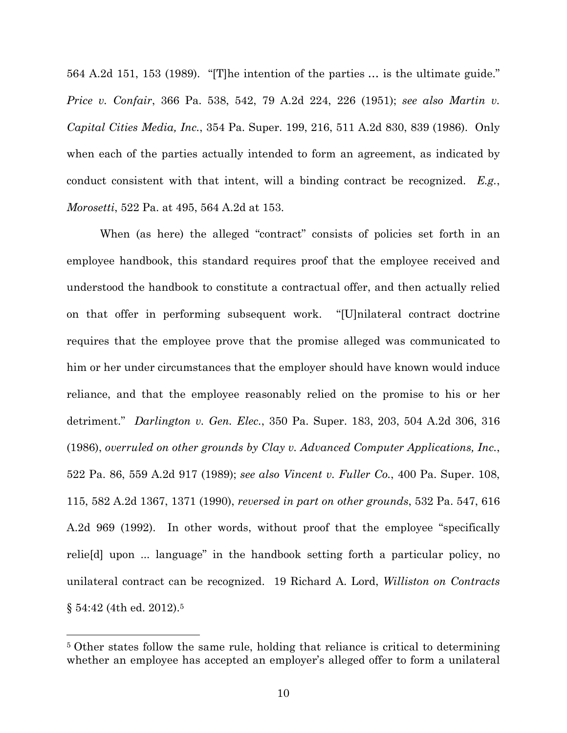564 A.2d 151, 153 (1989). "[T]he intention of the parties … is the ultimate guide." *Price v. Confair*, 366 Pa. 538, 542, 79 A.2d 224, 226 (1951); *see also Martin v. Capital Cities Media, Inc.*, 354 Pa. Super. 199, 216, 511 A.2d 830, 839 (1986). Only when each of the parties actually intended to form an agreement, as indicated by conduct consistent with that intent, will a binding contract be recognized. *E.g.*, *Morosetti*, 522 Pa. at 495, 564 A.2d at 153.

When (as here) the alleged "contract" consists of policies set forth in an employee handbook, this standard requires proof that the employee received and understood the handbook to constitute a contractual offer, and then actually relied on that offer in performing subsequent work. "[U]nilateral contract doctrine requires that the employee prove that the promise alleged was communicated to him or her under circumstances that the employer should have known would induce reliance, and that the employee reasonably relied on the promise to his or her detriment." *Darlington v. Gen. Elec.*, 350 Pa. Super. 183, 203, 504 A.2d 306, 316 (1986), *overruled on other grounds by Clay v. Advanced Computer Applications, Inc.*, 522 Pa. 86, 559 A.2d 917 (1989); *see also Vincent v. Fuller Co.*, 400 Pa. Super. 108, 115, 582 A.2d 1367, 1371 (1990), *reversed in part on other grounds*, 532 Pa. 547, 616 A.2d 969 (1992). In other words, without proof that the employee "specifically relie[d] upon ... language" in the handbook setting forth a particular policy, no unilateral contract can be recognized. 19 Richard A. Lord, *Williston on Contracts* § 54:42 (4th ed. 2012).5

 $\overline{a}$ 

<sup>5</sup> Other states follow the same rule, holding that reliance is critical to determining whether an employee has accepted an employer's alleged offer to form a unilateral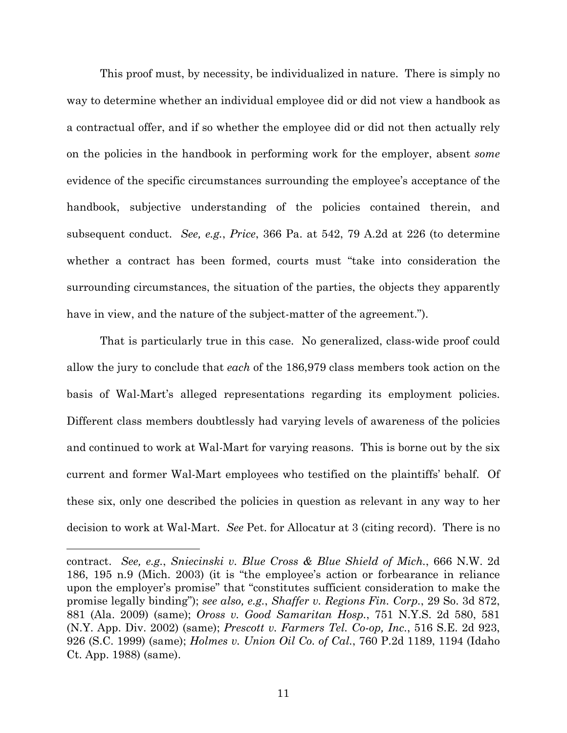This proof must, by necessity, be individualized in nature. There is simply no way to determine whether an individual employee did or did not view a handbook as a contractual offer, and if so whether the employee did or did not then actually rely on the policies in the handbook in performing work for the employer, absent *some* evidence of the specific circumstances surrounding the employee's acceptance of the handbook, subjective understanding of the policies contained therein, and subsequent conduct. *See, e.g.*, *Price*, 366 Pa. at 542, 79 A.2d at 226 (to determine whether a contract has been formed, courts must "take into consideration the surrounding circumstances, the situation of the parties, the objects they apparently have in view, and the nature of the subject-matter of the agreement.").

That is particularly true in this case. No generalized, class-wide proof could allow the jury to conclude that *each* of the 186,979 class members took action on the basis of Wal-Mart's alleged representations regarding its employment policies. Different class members doubtlessly had varying levels of awareness of the policies and continued to work at Wal-Mart for varying reasons. This is borne out by the six current and former Wal-Mart employees who testified on the plaintiffs' behalf. Of these six, only one described the policies in question as relevant in any way to her decision to work at Wal-Mart. *See* Pet. for Allocatur at 3 (citing record). There is no

 $\overline{a}$ 

contract. *See, e.g.*, *Sniecinski v. Blue Cross & Blue Shield of Mich.*, 666 N.W. 2d 186, 195 n.9 (Mich. 2003) (it is "the employee's action or forbearance in reliance upon the employer's promise" that "constitutes sufficient consideration to make the promise legally binding"); *see also, e.g.*, *Shaffer v. Regions Fin. Corp.*, 29 So. 3d 872, 881 (Ala. 2009) (same); *Oross v. Good Samaritan Hosp.*, 751 N.Y.S. 2d 580, 581 (N.Y. App. Div. 2002) (same); *Prescott v. Farmers Tel. Co-op, Inc.*, 516 S.E. 2d 923, 926 (S.C. 1999) (same); *Holmes v. Union Oil Co. of Cal.*, 760 P.2d 1189, 1194 (Idaho Ct. App. 1988) (same).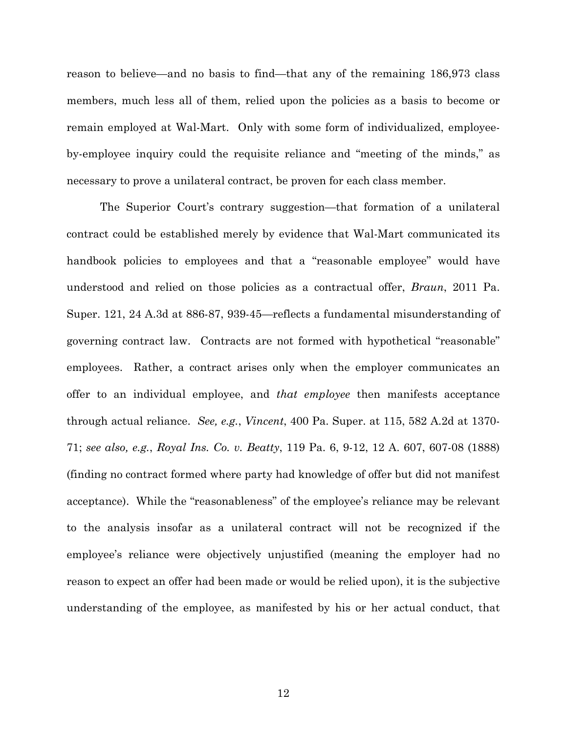reason to believe—and no basis to find—that any of the remaining 186,973 class members, much less all of them, relied upon the policies as a basis to become or remain employed at Wal-Mart. Only with some form of individualized, employeeby-employee inquiry could the requisite reliance and "meeting of the minds," as necessary to prove a unilateral contract, be proven for each class member.

The Superior Court's contrary suggestion—that formation of a unilateral contract could be established merely by evidence that Wal-Mart communicated its handbook policies to employees and that a "reasonable employee" would have understood and relied on those policies as a contractual offer, *Braun*, 2011 Pa. Super. 121, 24 A.3d at 886-87, 939-45—reflects a fundamental misunderstanding of governing contract law. Contracts are not formed with hypothetical "reasonable" employees. Rather, a contract arises only when the employer communicates an offer to an individual employee, and *that employee* then manifests acceptance through actual reliance. *See, e.g.*, *Vincent*, 400 Pa. Super. at 115, 582 A.2d at 1370- 71; *see also, e.g.*, *Royal Ins. Co. v. Beatty*, 119 Pa. 6, 9-12, 12 A. 607, 607-08 (1888) (finding no contract formed where party had knowledge of offer but did not manifest acceptance). While the "reasonableness" of the employee's reliance may be relevant to the analysis insofar as a unilateral contract will not be recognized if the employee's reliance were objectively unjustified (meaning the employer had no reason to expect an offer had been made or would be relied upon), it is the subjective understanding of the employee, as manifested by his or her actual conduct, that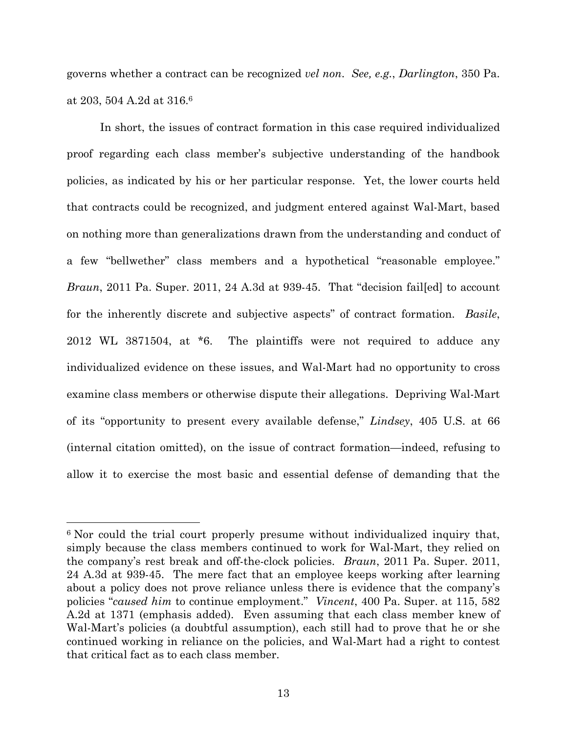governs whether a contract can be recognized *vel non*. *See, e.g.*, *Darlington*, 350 Pa. at 203, 504 A.2d at 316.6

In short, the issues of contract formation in this case required individualized proof regarding each class member's subjective understanding of the handbook policies, as indicated by his or her particular response. Yet, the lower courts held that contracts could be recognized, and judgment entered against Wal-Mart, based on nothing more than generalizations drawn from the understanding and conduct of a few "bellwether" class members and a hypothetical "reasonable employee." *Braun*, 2011 Pa. Super. 2011, 24 A.3d at 939-45. That "decision failed to account for the inherently discrete and subjective aspects" of contract formation. *Basile*, 2012 WL 3871504, at \*6. The plaintiffs were not required to adduce any individualized evidence on these issues, and Wal-Mart had no opportunity to cross examine class members or otherwise dispute their allegations. Depriving Wal-Mart of its "opportunity to present every available defense," *Lindsey*, 405 U.S. at 66 (internal citation omitted), on the issue of contract formation—indeed, refusing to allow it to exercise the most basic and essential defense of demanding that the

1

<sup>&</sup>lt;sup>6</sup> Nor could the trial court properly presume without individualized inquiry that, simply because the class members continued to work for Wal-Mart, they relied on the company's rest break and off-the-clock policies. *Braun*, 2011 Pa. Super. 2011, 24 A.3d at 939-45. The mere fact that an employee keeps working after learning about a policy does not prove reliance unless there is evidence that the company's policies "*caused him* to continue employment." *Vincent*, 400 Pa. Super. at 115, 582 A.2d at 1371 (emphasis added). Even assuming that each class member knew of Wal-Mart's policies (a doubtful assumption), each still had to prove that he or she continued working in reliance on the policies, and Wal-Mart had a right to contest that critical fact as to each class member.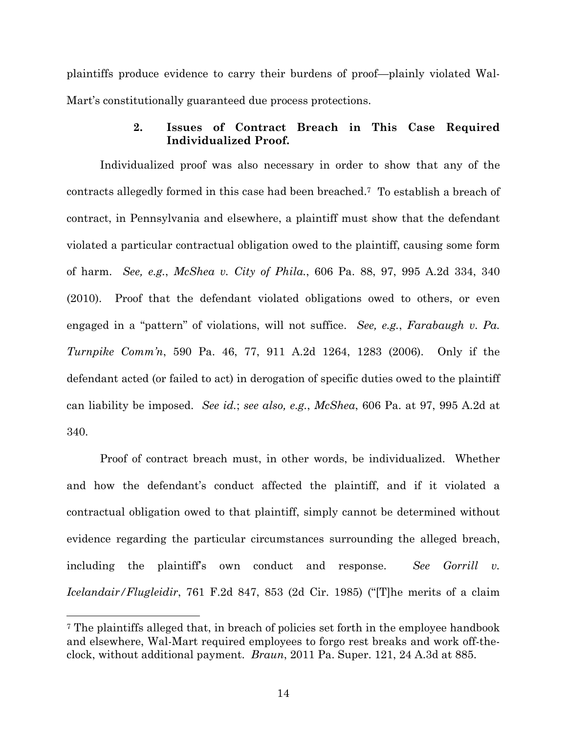plaintiffs produce evidence to carry their burdens of proof—plainly violated Wal-Mart's constitutionally guaranteed due process protections.

## **2. Issues of Contract Breach in This Case Required Individualized Proof.**

Individualized proof was also necessary in order to show that any of the contracts allegedly formed in this case had been breached.7 To establish a breach of contract, in Pennsylvania and elsewhere, a plaintiff must show that the defendant violated a particular contractual obligation owed to the plaintiff, causing some form of harm. *See, e.g.*, *McShea v. City of Phila.*, 606 Pa. 88, 97, 995 A.2d 334, 340 (2010). Proof that the defendant violated obligations owed to others, or even engaged in a "pattern" of violations, will not suffice. *See, e.g.*, *Farabaugh v. Pa. Turnpike Comm'n*, 590 Pa. 46, 77, 911 A.2d 1264, 1283 (2006). Only if the defendant acted (or failed to act) in derogation of specific duties owed to the plaintiff can liability be imposed. *See id.*; *see also, e.g.*, *McShea*, 606 Pa. at 97, 995 A.2d at 340.

Proof of contract breach must, in other words, be individualized. Whether and how the defendant's conduct affected the plaintiff, and if it violated a contractual obligation owed to that plaintiff, simply cannot be determined without evidence regarding the particular circumstances surrounding the alleged breach, including the plaintiff's own conduct and response. *See Gorrill v. Icelandair/Flugleidir*, 761 F.2d 847, 853 (2d Cir. 1985) ("[T]he merits of a claim

l

<sup>7</sup> The plaintiffs alleged that, in breach of policies set forth in the employee handbook and elsewhere, Wal-Mart required employees to forgo rest breaks and work off-theclock, without additional payment. *Braun*, 2011 Pa. Super. 121, 24 A.3d at 885.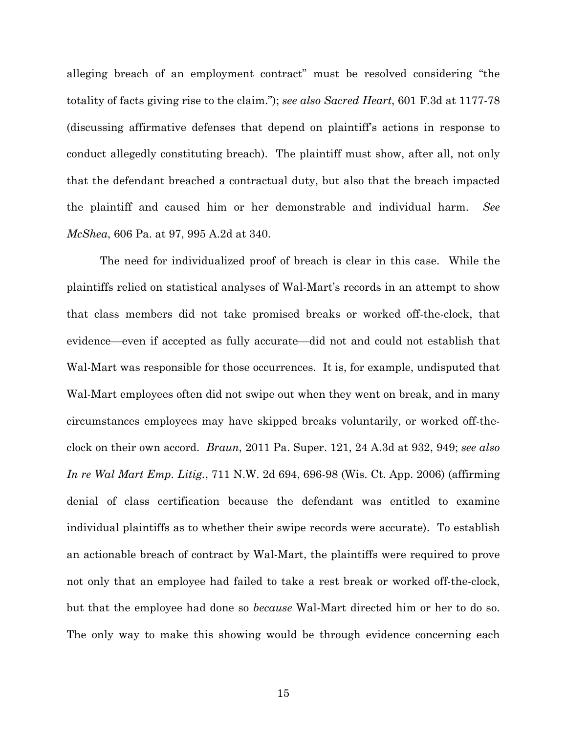alleging breach of an employment contract" must be resolved considering "the totality of facts giving rise to the claim."); *see also Sacred Heart*, 601 F.3d at 1177-78 (discussing affirmative defenses that depend on plaintiff's actions in response to conduct allegedly constituting breach). The plaintiff must show, after all, not only that the defendant breached a contractual duty, but also that the breach impacted the plaintiff and caused him or her demonstrable and individual harm. *See McShea*, 606 Pa. at 97, 995 A.2d at 340.

The need for individualized proof of breach is clear in this case. While the plaintiffs relied on statistical analyses of Wal-Mart's records in an attempt to show that class members did not take promised breaks or worked off-the-clock, that evidence—even if accepted as fully accurate—did not and could not establish that Wal-Mart was responsible for those occurrences. It is, for example, undisputed that Wal-Mart employees often did not swipe out when they went on break, and in many circumstances employees may have skipped breaks voluntarily, or worked off-theclock on their own accord. *Braun*, 2011 Pa. Super. 121, 24 A.3d at 932, 949; *see also In re Wal Mart Emp. Litig.*, 711 N.W. 2d 694, 696-98 (Wis. Ct. App. 2006) (affirming denial of class certification because the defendant was entitled to examine individual plaintiffs as to whether their swipe records were accurate). To establish an actionable breach of contract by Wal-Mart, the plaintiffs were required to prove not only that an employee had failed to take a rest break or worked off-the-clock, but that the employee had done so *because* Wal-Mart directed him or her to do so. The only way to make this showing would be through evidence concerning each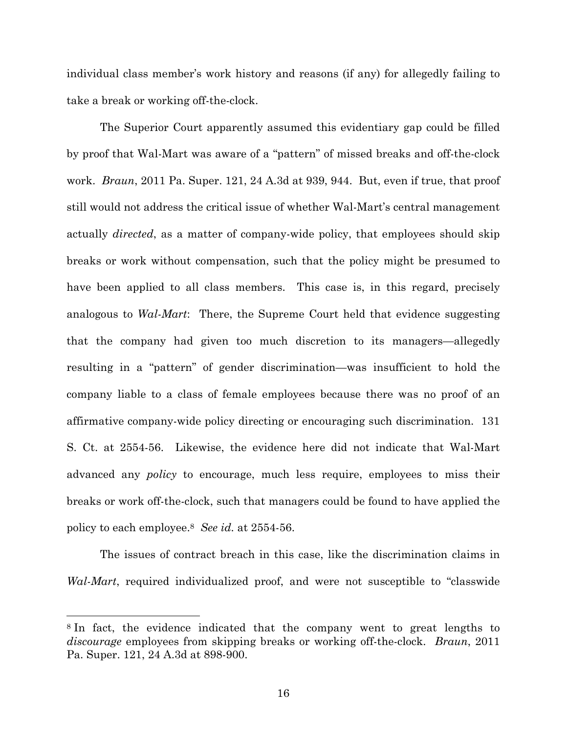individual class member's work history and reasons (if any) for allegedly failing to take a break or working off-the-clock.

The Superior Court apparently assumed this evidentiary gap could be filled by proof that Wal-Mart was aware of a "pattern" of missed breaks and off-the-clock work. *Braun*, 2011 Pa. Super. 121, 24 A.3d at 939, 944. But, even if true, that proof still would not address the critical issue of whether Wal-Mart's central management actually *directed*, as a matter of company-wide policy, that employees should skip breaks or work without compensation, such that the policy might be presumed to have been applied to all class members. This case is, in this regard, precisely analogous to *Wal-Mart*: There, the Supreme Court held that evidence suggesting that the company had given too much discretion to its managers—allegedly resulting in a "pattern" of gender discrimination—was insufficient to hold the company liable to a class of female employees because there was no proof of an affirmative company-wide policy directing or encouraging such discrimination. 131 S. Ct. at 2554-56. Likewise, the evidence here did not indicate that Wal-Mart advanced any *policy* to encourage, much less require, employees to miss their breaks or work off-the-clock, such that managers could be found to have applied the policy to each employee.8 *See id.* at 2554-56.

The issues of contract breach in this case, like the discrimination claims in *Wal-Mart*, required individualized proof, and were not susceptible to "classwide

 $\overline{a}$ 

<sup>8</sup> In fact, the evidence indicated that the company went to great lengths to *discourage* employees from skipping breaks or working off-the-clock. *Braun*, 2011 Pa. Super. 121, 24 A.3d at 898-900.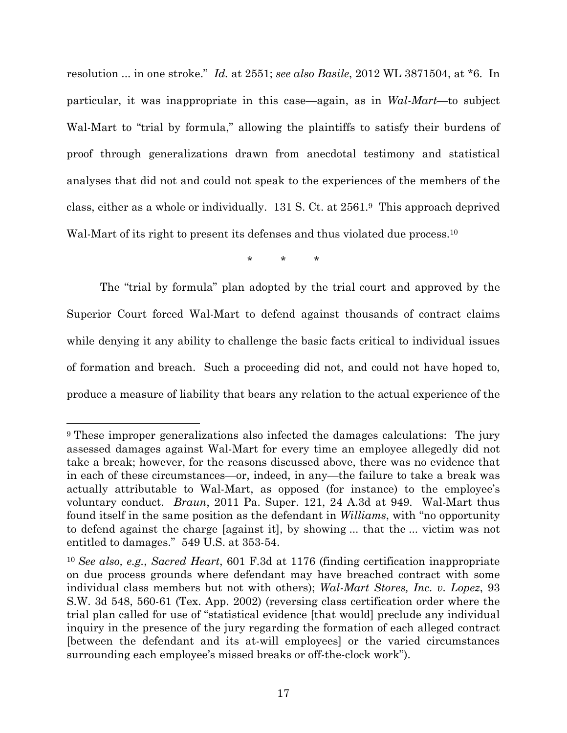resolution ... in one stroke." *Id.* at 2551; *see also Basile*, 2012 WL 3871504, at \*6. In particular, it was inappropriate in this case—again, as in *Wal-Mart*—to subject Wal-Mart to "trial by formula," allowing the plaintiffs to satisfy their burdens of proof through generalizations drawn from anecdotal testimony and statistical analyses that did not and could not speak to the experiences of the members of the class, either as a whole or individually. 131 S. Ct. at 2561.9 This approach deprived Wal-Mart of its right to present its defenses and thus violated due process.<sup>10</sup>

\* \* \*

The "trial by formula" plan adopted by the trial court and approved by the Superior Court forced Wal-Mart to defend against thousands of contract claims while denying it any ability to challenge the basic facts critical to individual issues of formation and breach. Such a proceeding did not, and could not have hoped to, produce a measure of liability that bears any relation to the actual experience of the

 $\overline{a}$ 

<sup>&</sup>lt;sup>9</sup> These improper generalizations also infected the damages calculations: The jury assessed damages against Wal-Mart for every time an employee allegedly did not take a break; however, for the reasons discussed above, there was no evidence that in each of these circumstances—or, indeed, in any—the failure to take a break was actually attributable to Wal-Mart, as opposed (for instance) to the employee's voluntary conduct. *Braun*, 2011 Pa. Super. 121, 24 A.3d at 949. Wal-Mart thus found itself in the same position as the defendant in *Williams*, with "no opportunity to defend against the charge [against it], by showing ... that the ... victim was not entitled to damages." 549 U.S. at 353-54.

<sup>10</sup> *See also, e.g.*, *Sacred Heart*, 601 F.3d at 1176 (finding certification inappropriate on due process grounds where defendant may have breached contract with some individual class members but not with others); *Wal-Mart Stores, Inc. v. Lopez*, 93 S.W. 3d 548, 560-61 (Tex. App. 2002) (reversing class certification order where the trial plan called for use of "statistical evidence [that would] preclude any individual inquiry in the presence of the jury regarding the formation of each alleged contract [between the defendant and its at-will employees] or the varied circumstances surrounding each employee's missed breaks or off-the-clock work").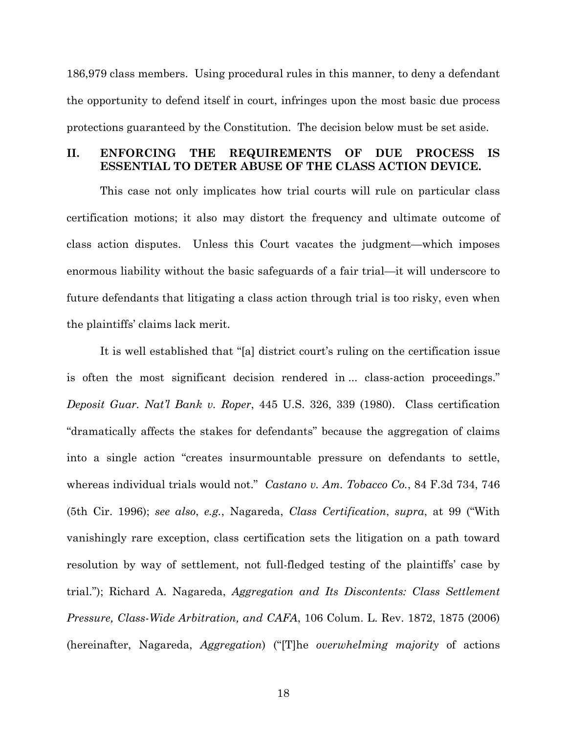186,979 class members. Using procedural rules in this manner, to deny a defendant the opportunity to defend itself in court, infringes upon the most basic due process protections guaranteed by the Constitution. The decision below must be set aside.

## **II. ENFORCING THE REQUIREMENTS OF DUE PROCESS IS ESSENTIAL TO DETER ABUSE OF THE CLASS ACTION DEVICE.**

This case not only implicates how trial courts will rule on particular class certification motions; it also may distort the frequency and ultimate outcome of class action disputes. Unless this Court vacates the judgment—which imposes enormous liability without the basic safeguards of a fair trial—it will underscore to future defendants that litigating a class action through trial is too risky, even when the plaintiffs' claims lack merit.

It is well established that "[a] district court's ruling on the certification issue is often the most significant decision rendered in ... class-action proceedings." *Deposit Guar. Nat'l Bank v. Roper*, 445 U.S. 326, 339 (1980). Class certification "dramatically affects the stakes for defendants" because the aggregation of claims into a single action "creates insurmountable pressure on defendants to settle, whereas individual trials would not." *Castano v. Am. Tobacco Co.*, 84 F.3d 734, 746 (5th Cir. 1996); *see also*, *e.g.*, Nagareda, *Class Certification*, *supra*, at 99 ("With vanishingly rare exception, class certification sets the litigation on a path toward resolution by way of settlement, not full-fledged testing of the plaintiffs' case by trial."); Richard A. Nagareda, *Aggregation and Its Discontents: Class Settlement Pressure, Class-Wide Arbitration, and CAFA*, 106 Colum. L. Rev. 1872, 1875 (2006) (hereinafter, Nagareda, *Aggregation*) ("[T]he *overwhelming majority* of actions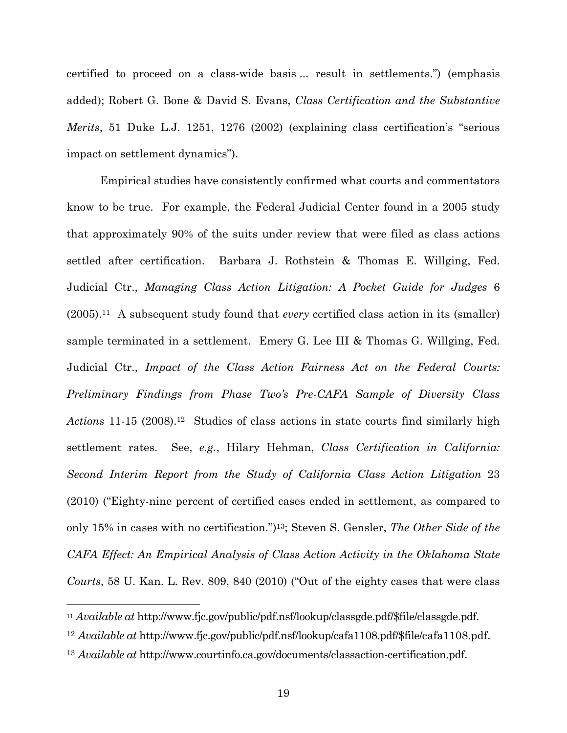certified to proceed on a class-wide basis ... result in settlements.") (emphasis added); Robert G. Bone & David S. Evans, *Class Certification and the Substantive Merits*, 51 Duke L.J. 1251, 1276 (2002) (explaining class certification's "serious impact on settlement dynamics").

Empirical studies have consistently confirmed what courts and commentators know to be true. For example, the Federal Judicial Center found in a 2005 study that approximately 90% of the suits under review that were filed as class actions settled after certification. Barbara J. Rothstein & Thomas E. Willging, Fed. Judicial Ctr., *Managing Class Action Litigation: A Pocket Guide for Judges* 6 (2005).11 A subsequent study found that *every* certified class action in its (smaller) sample terminated in a settlement. Emery G. Lee III & Thomas G. Willging, Fed. Judicial Ctr., *Impact of the Class Action Fairness Act on the Federal Courts: Preliminary Findings from Phase Two's Pre-CAFA Sample of Diversity Class*  Actions 11-15 (2008).<sup>12</sup> Studies of class actions in state courts find similarly high settlement rates. See, *e.g.*, Hilary Hehman, *Class Certification in California: Second Interim Report from the Study of California Class Action Litigation* 23 (2010) ("Eighty-nine percent of certified cases ended in settlement, as compared to only 15% in cases with no certification.")13; Steven S. Gensler, *The Other Side of the CAFA Effect: An Empirical Analysis of Class Action Activity in the Oklahoma State Courts*, 58 U. Kan. L. Rev. 809, 840 (2010) ("Out of the eighty cases that were class

l

<sup>11</sup> *Available at* http://www.fjc.gov/public/pdf.nsf/lookup/classgde.pdf/\$file/classgde.pdf.

<sup>12</sup> *Available at* http://www.fjc.gov/public/pdf.nsf/lookup/cafa1108.pdf/\$file/cafa1108.pdf.

<sup>13</sup> *Available at* http://www.courtinfo.ca.gov/documents/classaction-certification.pdf.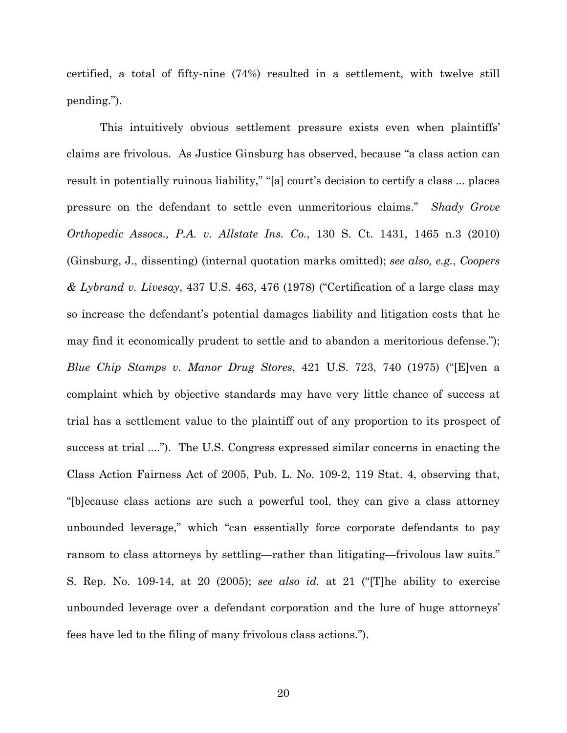certified, a total of fifty-nine (74%) resulted in a settlement, with twelve still pending.").

This intuitively obvious settlement pressure exists even when plaintiffs' claims are frivolous. As Justice Ginsburg has observed, because "a class action can result in potentially ruinous liability," "[a] court's decision to certify a class ... places pressure on the defendant to settle even unmeritorious claims." *Shady Grove Orthopedic Assocs., P.A. v. Allstate Ins. Co.*, 130 S. Ct. 1431, 1465 n.3 (2010) (Ginsburg, J., dissenting) (internal quotation marks omitted); *see also, e.g.*, *Coopers & Lybrand v. Livesay*, 437 U.S. 463, 476 (1978) ("Certification of a large class may so increase the defendant's potential damages liability and litigation costs that he may find it economically prudent to settle and to abandon a meritorious defense."); *Blue Chip Stamps v. Manor Drug Stores*, 421 U.S. 723, 740 (1975) ("[E]ven a complaint which by objective standards may have very little chance of success at trial has a settlement value to the plaintiff out of any proportion to its prospect of success at trial ...."). The U.S. Congress expressed similar concerns in enacting the Class Action Fairness Act of 2005, Pub. L. No. 109-2, 119 Stat. 4, observing that, "[b]ecause class actions are such a powerful tool, they can give a class attorney unbounded leverage," which "can essentially force corporate defendants to pay ransom to class attorneys by settling—rather than litigating—frivolous law suits." S. Rep. No. 109-14, at 20 (2005); *see also id.* at 21 ("[T]he ability to exercise unbounded leverage over a defendant corporation and the lure of huge attorneys' fees have led to the filing of many frivolous class actions.").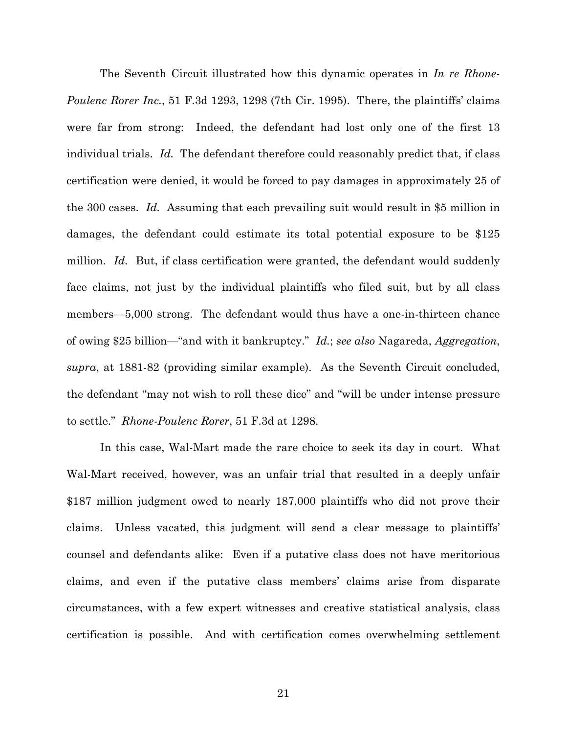The Seventh Circuit illustrated how this dynamic operates in *In re Rhone-Poulenc Rorer Inc.*, 51 F.3d 1293, 1298 (7th Cir. 1995). There, the plaintiffs' claims were far from strong: Indeed, the defendant had lost only one of the first 13 individual trials. *Id.* The defendant therefore could reasonably predict that, if class certification were denied, it would be forced to pay damages in approximately 25 of the 300 cases. *Id.* Assuming that each prevailing suit would result in \$5 million in damages, the defendant could estimate its total potential exposure to be \$125 million. *Id.* But, if class certification were granted, the defendant would suddenly face claims, not just by the individual plaintiffs who filed suit, but by all class members—5,000 strong. The defendant would thus have a one-in-thirteen chance of owing \$25 billion—"and with it bankruptcy." *Id.*; *see also* Nagareda, *Aggregation*, *supra*, at 1881-82 (providing similar example). As the Seventh Circuit concluded, the defendant "may not wish to roll these dice" and "will be under intense pressure to settle." *Rhone-Poulenc Rorer*, 51 F.3d at 1298.

In this case, Wal-Mart made the rare choice to seek its day in court. What Wal-Mart received, however, was an unfair trial that resulted in a deeply unfair \$187 million judgment owed to nearly 187,000 plaintiffs who did not prove their claims. Unless vacated, this judgment will send a clear message to plaintiffs' counsel and defendants alike: Even if a putative class does not have meritorious claims, and even if the putative class members' claims arise from disparate circumstances, with a few expert witnesses and creative statistical analysis, class certification is possible. And with certification comes overwhelming settlement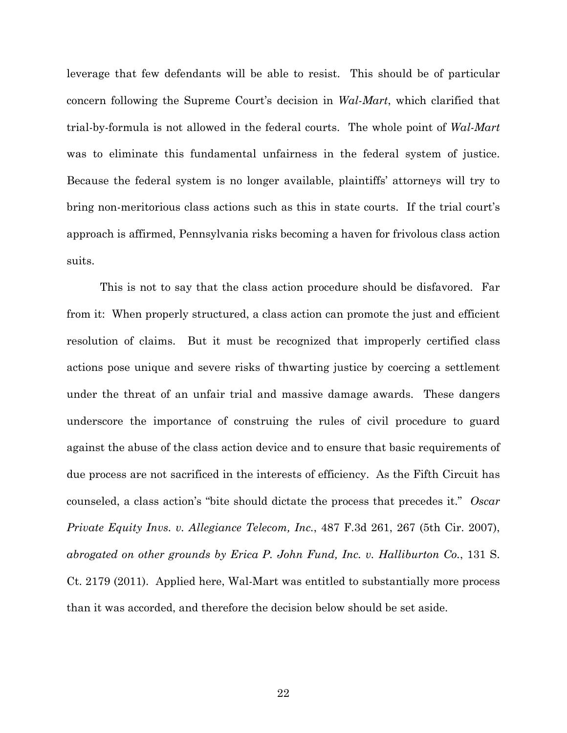leverage that few defendants will be able to resist. This should be of particular concern following the Supreme Court's decision in *Wal-Mart*, which clarified that trial-by-formula is not allowed in the federal courts. The whole point of *Wal-Mart* was to eliminate this fundamental unfairness in the federal system of justice. Because the federal system is no longer available, plaintiffs' attorneys will try to bring non-meritorious class actions such as this in state courts. If the trial court's approach is affirmed, Pennsylvania risks becoming a haven for frivolous class action suits.

This is not to say that the class action procedure should be disfavored. Far from it: When properly structured, a class action can promote the just and efficient resolution of claims. But it must be recognized that improperly certified class actions pose unique and severe risks of thwarting justice by coercing a settlement under the threat of an unfair trial and massive damage awards. These dangers underscore the importance of construing the rules of civil procedure to guard against the abuse of the class action device and to ensure that basic requirements of due process are not sacrificed in the interests of efficiency. As the Fifth Circuit has counseled, a class action's "bite should dictate the process that precedes it." *Oscar Private Equity Invs. v. Allegiance Telecom, Inc.*, 487 F.3d 261, 267 (5th Cir. 2007), *abrogated on other grounds by Erica P. John Fund, Inc. v. Halliburton Co.*, 131 S. Ct. 2179 (2011). Applied here, Wal-Mart was entitled to substantially more process than it was accorded, and therefore the decision below should be set aside.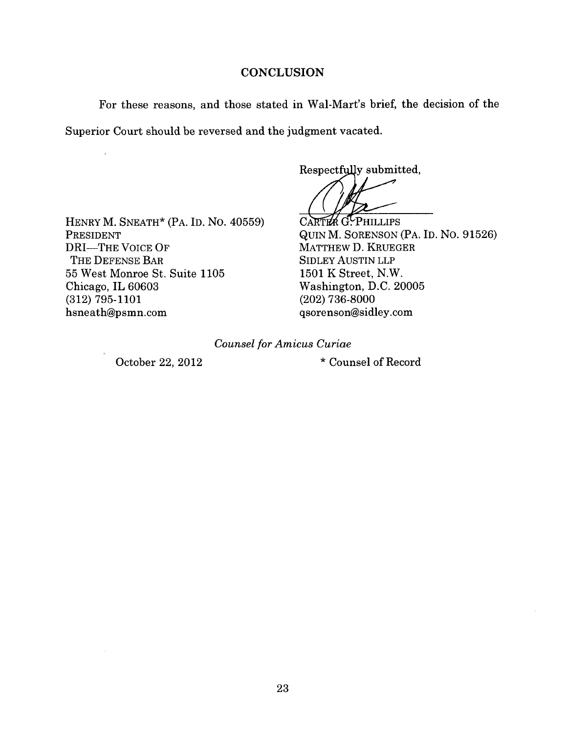### **CONCLUSION**

For these reasons, and those stated in Wal-Mart's brief, the decision of the Superior Court should be reversed and the judgment vacated.

Respectfully submitted,

HENRY M. SNEATH\* (PA. ID. NO. 40559) PRESIDENT **DRI-THE VOICE OF** THE DEFENSE BAR 55 West Monroe St. Suite 1105 Chicago, IL 60603  $(312)$  795-1101 hsneath@psmn.com

CARTER G. PHILLIPS QUIN M. SORENSON (PA. ID. NO. 91526) MATTHEW D. KRUEGER **SIDLEY AUSTIN LLP** 1501 K Street, N.W. Washington, D.C. 20005  $(202)$  736-8000 qsorenson@sidley.com

**Counsel for Amicus Curiae** 

October 22, 2012

\* Counsel of Record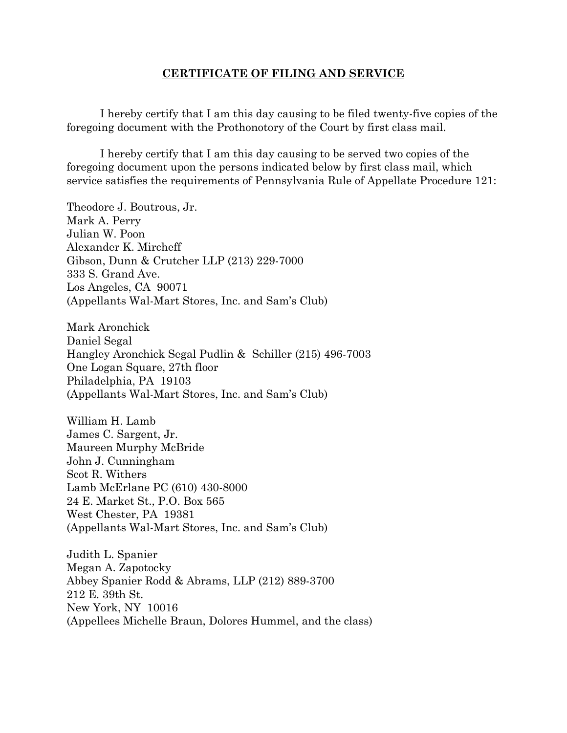### **CERTIFICATE OF FILING AND SERVICE**

 I hereby certify that I am this day causing to be filed twenty-five copies of the foregoing document with the Prothonotory of the Court by first class mail.

I hereby certify that I am this day causing to be served two copies of the foregoing document upon the persons indicated below by first class mail, which service satisfies the requirements of Pennsylvania Rule of Appellate Procedure 121:

Theodore J. Boutrous, Jr. Mark A. Perry Julian W. Poon Alexander K. Mircheff Gibson, Dunn & Crutcher LLP (213) 229-7000 333 S. Grand Ave. Los Angeles, CA 90071 (Appellants Wal-Mart Stores, Inc. and Sam's Club)

Mark Aronchick Daniel Segal Hangley Aronchick Segal Pudlin & Schiller (215) 496-7003 One Logan Square, 27th floor Philadelphia, PA 19103 (Appellants Wal-Mart Stores, Inc. and Sam's Club)

William H. Lamb James C. Sargent, Jr. Maureen Murphy McBride John J. Cunningham Scot R. Withers Lamb McErlane PC (610) 430-8000 24 E. Market St., P.O. Box 565 West Chester, PA 19381 (Appellants Wal-Mart Stores, Inc. and Sam's Club)

Judith L. Spanier Megan A. Zapotocky Abbey Spanier Rodd & Abrams, LLP (212) 889-3700 212 E. 39th St. New York, NY 10016 (Appellees Michelle Braun, Dolores Hummel, and the class)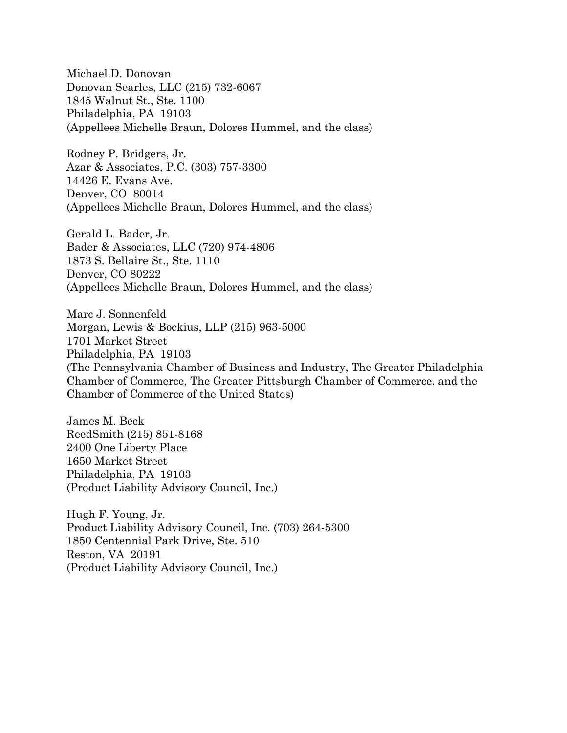Michael D. Donovan Donovan Searles, LLC (215) 732-6067 1845 Walnut St., Ste. 1100 Philadelphia, PA 19103 (Appellees Michelle Braun, Dolores Hummel, and the class)

Rodney P. Bridgers, Jr. Azar & Associates, P.C. (303) 757-3300 14426 E. Evans Ave. Denver, CO 80014 (Appellees Michelle Braun, Dolores Hummel, and the class)

Gerald L. Bader, Jr. Bader & Associates, LLC (720) 974-4806 1873 S. Bellaire St., Ste. 1110 Denver, CO 80222 (Appellees Michelle Braun, Dolores Hummel, and the class)

Marc J. Sonnenfeld Morgan, Lewis & Bockius, LLP (215) 963-5000 1701 Market Street Philadelphia, PA 19103 (The Pennsylvania Chamber of Business and Industry, The Greater Philadelphia Chamber of Commerce, The Greater Pittsburgh Chamber of Commerce, and the Chamber of Commerce of the United States)

James M. Beck ReedSmith (215) 851-8168 2400 One Liberty Place 1650 Market Street Philadelphia, PA 19103 (Product Liability Advisory Council, Inc.)

Hugh F. Young, Jr. Product Liability Advisory Council, Inc. (703) 264-5300 1850 Centennial Park Drive, Ste. 510 Reston, VA 20191 (Product Liability Advisory Council, Inc.)